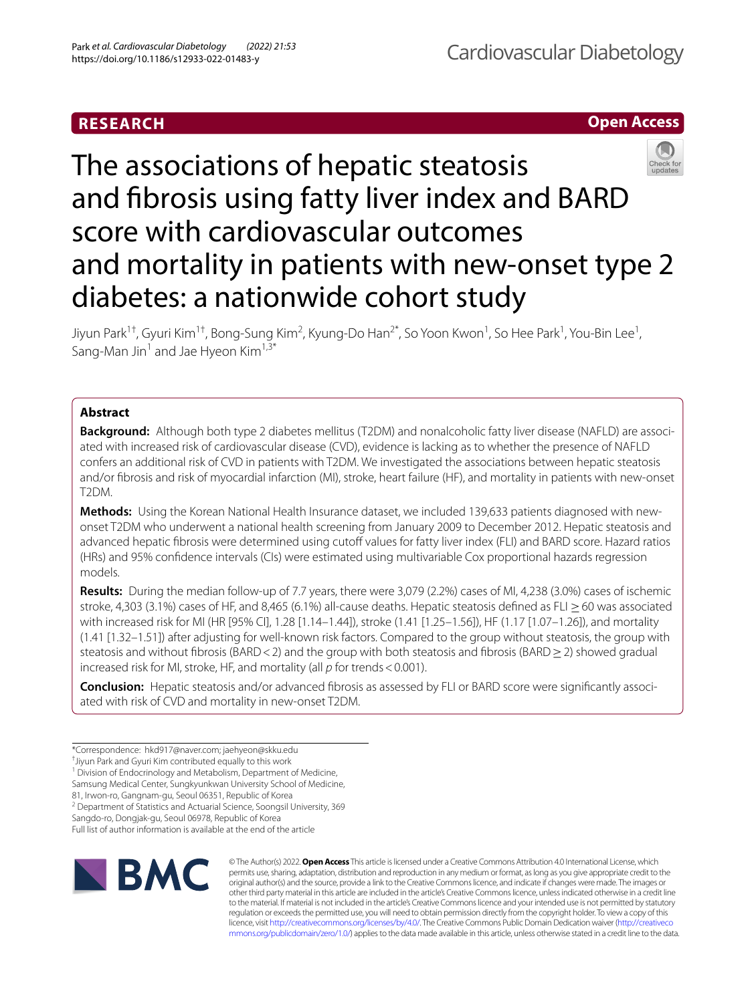# **RESEARCH**





Jiyun Park<sup>1†</sup>, Gyuri Kim<sup>1†</sup>, Bong-Sung Kim<sup>2</sup>, Kyung-Do Han<sup>2\*</sup>, So Yoon Kwon<sup>1</sup>, So Hee Park<sup>1</sup>, You-Bin Lee<sup>1</sup>, Sang-Man Jin<sup>1</sup> and Jae Hyeon Kim<sup>1,3\*</sup>

# **Abstract**

**Background:** Although both type 2 diabetes mellitus (T2DM) and nonalcoholic fatty liver disease (NAFLD) are associated with increased risk of cardiovascular disease (CVD), evidence is lacking as to whether the presence of NAFLD confers an additional risk of CVD in patients with T2DM. We investigated the associations between hepatic steatosis and/or fbrosis and risk of myocardial infarction (MI), stroke, heart failure (HF), and mortality in patients with new-onset T2DM.

**Methods:** Using the Korean National Health Insurance dataset, we included 139,633 patients diagnosed with newonset T2DM who underwent a national health screening from January 2009 to December 2012. Hepatic steatosis and advanced hepatic fibrosis were determined using cutoff values for fatty liver index (FLI) and BARD score. Hazard ratios (HRs) and 95% confdence intervals (CIs) were estimated using multivariable Cox proportional hazards regression models.

**Results:** During the median follow-up of 7.7 years, there were 3,079 (2.2%) cases of MI, 4,238 (3.0%) cases of ischemic stroke, 4,303 (3.1%) cases of HF, and 8,465 (6.1%) all-cause deaths. Hepatic steatosis defined as FLI  $\geq$  60 was associated with increased risk for MI (HR [95% CI], 1.28 [1.14–1.44]), stroke (1.41 [1.25–1.56]), HF (1.17 [1.07–1.26]), and mortality (1.41 [1.32–1.51]) after adjusting for well-known risk factors. Compared to the group without steatosis, the group with steatosis and without fibrosis (BARD<2) and the group with both steatosis and fibrosis (BARD ≥ 2) showed gradual increased risk for MI, stroke, HF, and mortality (all *p* for trends<0.001).

**Conclusion:** Hepatic steatosis and/or advanced fibrosis as assessed by FLI or BARD score were significantly associated with risk of CVD and mortality in new-onset T2DM.

Sangdo-ro, Dongjak-gu, Seoul 06978, Republic of Korea Full list of author information is available at the end of the article



© The Author(s) 2022. **Open Access** This article is licensed under a Creative Commons Attribution 4.0 International License, which permits use, sharing, adaptation, distribution and reproduction in any medium or format, as long as you give appropriate credit to the original author(s) and the source, provide a link to the Creative Commons licence, and indicate if changes were made. The images or other third party material in this article are included in the article's Creative Commons licence, unless indicated otherwise in a credit line to the material. If material is not included in the article's Creative Commons licence and your intended use is not permitted by statutory regulation or exceeds the permitted use, you will need to obtain permission directly from the copyright holder. To view a copy of this licence, visit [http://creativecommons.org/licenses/by/4.0/.](http://creativecommons.org/licenses/by/4.0/) The Creative Commons Public Domain Dedication waiver ([http://creativeco](http://creativecommons.org/publicdomain/zero/1.0/) [mmons.org/publicdomain/zero/1.0/](http://creativecommons.org/publicdomain/zero/1.0/)) applies to the data made available in this article, unless otherwise stated in a credit line to the data.

<sup>\*</sup>Correspondence: hkd917@naver.com; jaehyeon@skku.edu

<sup>†</sup> Jiyun Park and Gyuri Kim contributed equally to this work

<sup>&</sup>lt;sup>1</sup> Division of Endocrinology and Metabolism, Department of Medicine,

Samsung Medical Center, Sungkyunkwan University School of Medicine,

<sup>81,</sup> Irwon-ro, Gangnam-gu, Seoul 06351, Republic of Korea

<sup>&</sup>lt;sup>2</sup> Department of Statistics and Actuarial Science, Soongsil University, 369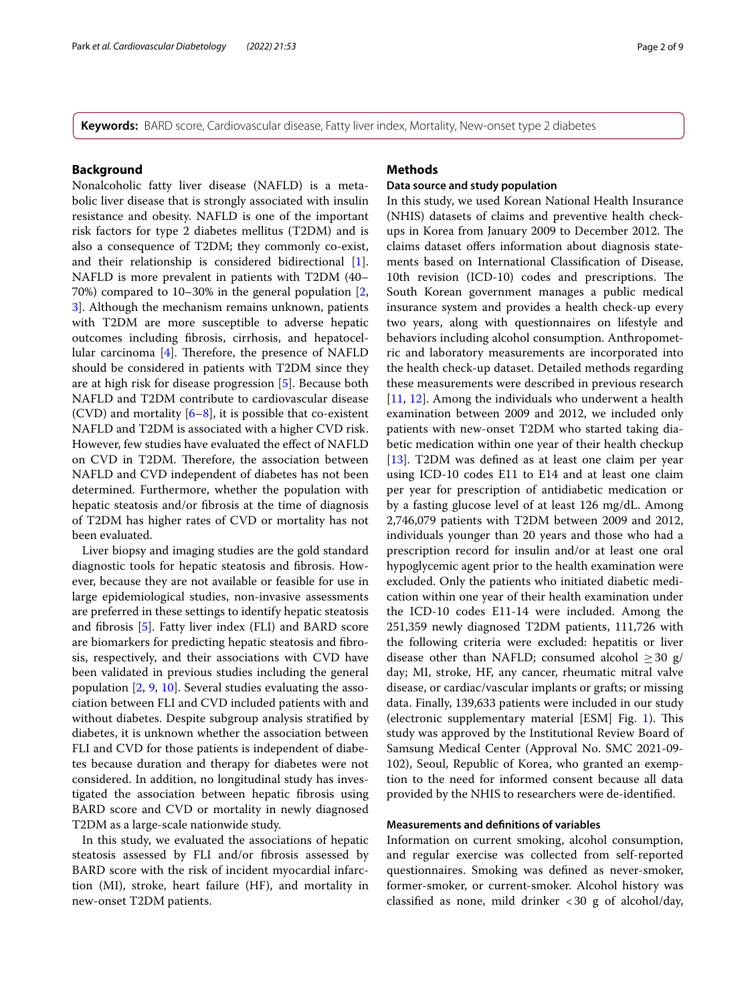**Keywords:** BARD score, Cardiovascular disease, Fatty liver index, Mortality, New-onset type 2 diabetes

### **Background**

Nonalcoholic fatty liver disease (NAFLD) is a metabolic liver disease that is strongly associated with insulin resistance and obesity. NAFLD is one of the important risk factors for type 2 diabetes mellitus (T2DM) and is also a consequence of T2DM; they commonly co-exist, and their relationship is considered bidirectional [\[1](#page-7-0)]. NAFLD is more prevalent in patients with T2DM (40– 70%) compared to 10–30% in the general population [\[2](#page-7-1), [3\]](#page-7-2). Although the mechanism remains unknown, patients with T2DM are more susceptible to adverse hepatic outcomes including fbrosis, cirrhosis, and hepatocellular carcinoma  $[4]$  $[4]$ . Therefore, the presence of NAFLD should be considered in patients with T2DM since they are at high risk for disease progression [\[5](#page-7-4)]. Because both NAFLD and T2DM contribute to cardiovascular disease (CVD) and mortality  $[6–8]$  $[6–8]$  $[6–8]$ , it is possible that co-existent NAFLD and T2DM is associated with a higher CVD risk. However, few studies have evaluated the efect of NAFLD on CVD in T2DM. Therefore, the association between NAFLD and CVD independent of diabetes has not been determined. Furthermore, whether the population with hepatic steatosis and/or fbrosis at the time of diagnosis of T2DM has higher rates of CVD or mortality has not been evaluated.

Liver biopsy and imaging studies are the gold standard diagnostic tools for hepatic steatosis and fbrosis. However, because they are not available or feasible for use in large epidemiological studies, non-invasive assessments are preferred in these settings to identify hepatic steatosis and fbrosis [[5\]](#page-7-4). Fatty liver index (FLI) and BARD score are biomarkers for predicting hepatic steatosis and fbrosis, respectively, and their associations with CVD have been validated in previous studies including the general population [\[2](#page-7-1), [9](#page-8-1), [10\]](#page-8-2). Several studies evaluating the association between FLI and CVD included patients with and without diabetes. Despite subgroup analysis stratifed by diabetes, it is unknown whether the association between FLI and CVD for those patients is independent of diabetes because duration and therapy for diabetes were not considered. In addition, no longitudinal study has investigated the association between hepatic fbrosis using BARD score and CVD or mortality in newly diagnosed T2DM as a large-scale nationwide study.

In this study, we evaluated the associations of hepatic steatosis assessed by FLI and/or fbrosis assessed by BARD score with the risk of incident myocardial infarction (MI), stroke, heart failure (HF), and mortality in new-onset T2DM patients.

# **Methods**

# **Data source and study population**

In this study, we used Korean National Health Insurance (NHIS) datasets of claims and preventive health checkups in Korea from January 2009 to December 2012. The claims dataset ofers information about diagnosis statements based on International Classifcation of Disease, 10th revision (ICD-10) codes and prescriptions. The South Korean government manages a public medical insurance system and provides a health check-up every two years, along with questionnaires on lifestyle and behaviors including alcohol consumption. Anthropometric and laboratory measurements are incorporated into the health check-up dataset. Detailed methods regarding these measurements were described in previous research [[11,](#page-8-3) [12\]](#page-8-4). Among the individuals who underwent a health examination between 2009 and 2012, we included only patients with new-onset T2DM who started taking diabetic medication within one year of their health checkup [[13\]](#page-8-5). T2DM was defned as at least one claim per year using ICD-10 codes E11 to E14 and at least one claim per year for prescription of antidiabetic medication or by a fasting glucose level of at least 126 mg/dL. Among 2,746,079 patients with T2DM between 2009 and 2012, individuals younger than 20 years and those who had a prescription record for insulin and/or at least one oral hypoglycemic agent prior to the health examination were excluded. Only the patients who initiated diabetic medication within one year of their health examination under the ICD-10 codes E11-14 were included. Among the 251,359 newly diagnosed T2DM patients, 111,726 with the following criteria were excluded: hepatitis or liver disease other than NAFLD; consumed alcohol  $\geq$  30 g/ day; MI, stroke, HF, any cancer, rheumatic mitral valve disease, or cardiac/vascular implants or grafts; or missing data. Finally, 139,633 patients were included in our study (electronic supplementary material [ESM] Fig. [1](#page-2-0)). This study was approved by the Institutional Review Board of Samsung Medical Center (Approval No. SMC 2021-09- 102), Seoul, Republic of Korea, who granted an exemption to the need for informed consent because all data provided by the NHIS to researchers were de-identifed.

### **Measurements and defnitions of variables**

Information on current smoking, alcohol consumption, and regular exercise was collected from self-reported questionnaires. Smoking was defned as never-smoker, former-smoker, or current-smoker. Alcohol history was classified as none, mild drinker  $\langle 30 \text{ g} \rangle$  of alcohol/day,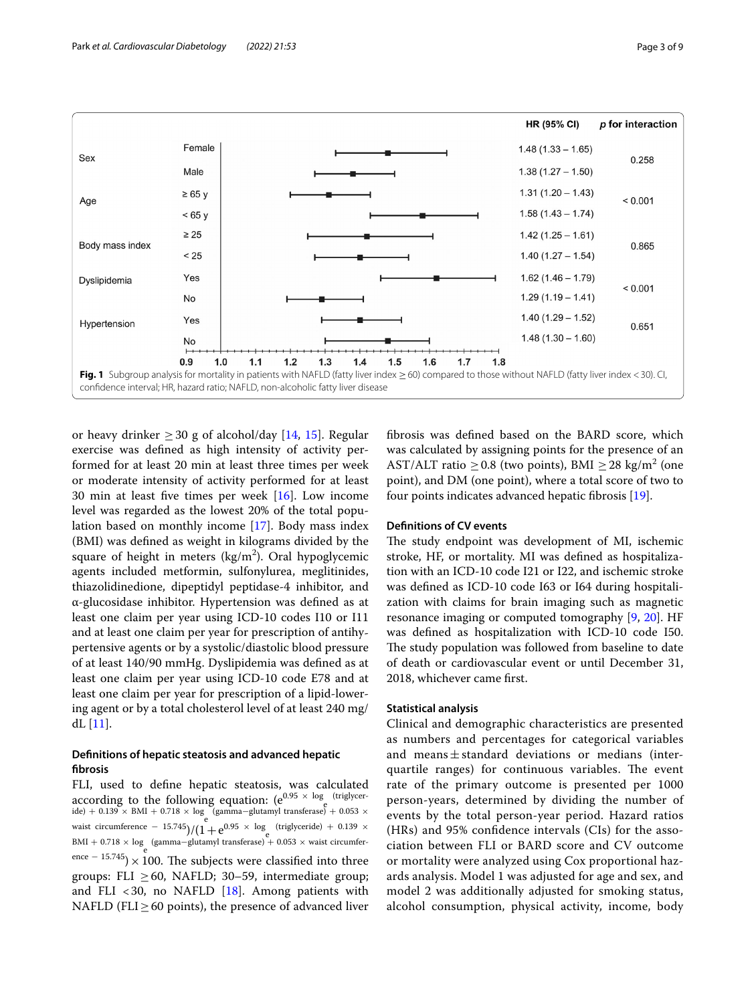

<span id="page-2-0"></span>or heavy drinker  $>$  30 g of alcohol/day [[14,](#page-8-6) [15](#page-8-7)]. Regular exercise was defned as high intensity of activity performed for at least 20 min at least three times per week or moderate intensity of activity performed for at least 30 min at least fve times per week [[16](#page-8-8)]. Low income level was regarded as the lowest 20% of the total population based on monthly income [\[17](#page-8-9)]. Body mass index (BMI) was defned as weight in kilograms divided by the square of height in meters (kg/m<sup>2</sup>). Oral hypoglycemic agents included metformin, sulfonylurea, meglitinides, thiazolidinedione, dipeptidyl peptidase-4 inhibitor, and α-glucosidase inhibitor. Hypertension was defned as at least one claim per year using ICD-10 codes I10 or I11 and at least one claim per year for prescription of antihypertensive agents or by a systolic/diastolic blood pressure of at least 140/90 mmHg. Dyslipidemia was defned as at least one claim per year using ICD-10 code E78 and at least one claim per year for prescription of a lipid-lowering agent or by a total cholesterol level of at least 240 mg/ dL [[11\]](#page-8-3).

# **Defnitions of hepatic steatosis and advanced hepatic fbrosis**

FLI, used to defne hepatic steatosis, was calculated according to the following equation:  $(e^{0.95 \times \log_e (\text{triglycer-} \cdot \cdot)})$ ide) + 0.139 × BMI + 0.718 × log (gamma−glutamyl transferase) + 0.053 × waist circumference – 15.745)/ $(1+e^{0.95 \times \log_{e} (\text{triglyceride})} + 0.139 \times$  $\text{BMI} + 0.718 \times \text{log}$  (gamma–glutamyl transferase) + 0.053 × waist circumference – 15.745) × 100. The subjects were classified into three groups: FLI  $\geq$  60, NAFLD; 30–59, intermediate group; and FLI <30, no NAFLD  $[18]$  $[18]$ . Among patients with NAFLD (FLI $\geq$  60 points), the presence of advanced liver fbrosis was defned based on the BARD score, which was calculated by assigning points for the presence of an AST/ALT ratio  $\geq$  0.8 (two points), BMI  $\geq$  28 kg/m<sup>2</sup> (one point), and DM (one point), where a total score of two to four points indicates advanced hepatic fbrosis [\[19](#page-8-11)].

### **Defnitions of CV events**

The study endpoint was development of MI, ischemic stroke, HF, or mortality. MI was defned as hospitalization with an ICD-10 code I21 or I22, and ischemic stroke was defned as ICD-10 code I63 or I64 during hospitalization with claims for brain imaging such as magnetic resonance imaging or computed tomography [\[9](#page-8-1), [20](#page-8-12)]. HF was defned as hospitalization with ICD-10 code I50. The study population was followed from baseline to date of death or cardiovascular event or until December 31, 2018, whichever came frst.

# **Statistical analysis**

Clinical and demographic characteristics are presented as numbers and percentages for categorical variables and means $\pm$ standard deviations or medians (interquartile ranges) for continuous variables. The event rate of the primary outcome is presented per 1000 person-years, determined by dividing the number of events by the total person-year period. Hazard ratios (HRs) and 95% confdence intervals (CIs) for the association between FLI or BARD score and CV outcome or mortality were analyzed using Cox proportional hazards analysis. Model 1 was adjusted for age and sex, and model 2 was additionally adjusted for smoking status, alcohol consumption, physical activity, income, body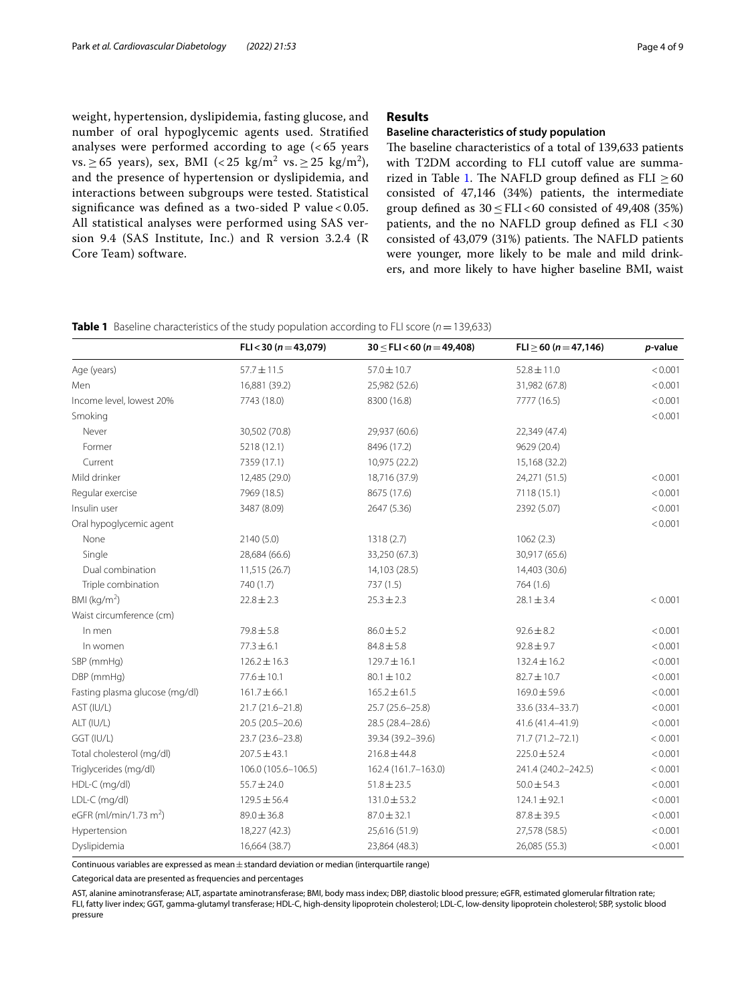weight, hypertension, dyslipidemia, fasting glucose, and number of oral hypoglycemic agents used. Stratifed analyses were performed according to age (< 65 years vs.  $\geq 65$  years), sex, BMI (< 25 kg/m<sup>2</sup> vs.  $\geq 25$  kg/m<sup>2</sup>), and the presence of hypertension or dyslipidemia, and interactions between subgroups were tested. Statistical signifcance was defned as a two-sided P value < 0.05. All statistical analyses were performed using SAS version 9.4 (SAS Institute, Inc.) and R version 3.2.4 (R Core Team) software.

# **Results**

# **Baseline characteristics of study population**

The baseline characteristics of a total of 139,633 patients with T2DM according to FLI cutoff value are summa-rized in Table [1](#page-3-0). The NAFLD group defined as FLI  $\geq$  60 consisted of 47,146 (34%) patients, the intermediate group defined as  $30 < FLI < 60$  consisted of 49,408 (35%) patients, and the no NAFLD group defned as FLI <30 consisted of 43,079 (31%) patients. The NAFLD patients were younger, more likely to be male and mild drinkers, and more likely to have higher baseline BMI, waist

<span id="page-3-0"></span>

| <b>Table 1</b> Baseline characteristics of the study population according to FLI score ( $n = 139,633$ ) |  |
|----------------------------------------------------------------------------------------------------------|--|
|----------------------------------------------------------------------------------------------------------|--|

|                                    | FLI < 30 ( $n = 43,079$ ) | $30 \leq$ FLI $<$ 60 (n = 49,408) | $FLI \ge 60 (n = 47,146)$ | p-value |
|------------------------------------|---------------------------|-----------------------------------|---------------------------|---------|
| Age (years)                        | $57.7 \pm 11.5$           | $57.0 \pm 10.7$                   | $52.8 \pm 11.0$           | < 0.001 |
| Men                                | 16,881 (39.2)             | 25,982 (52.6)                     | 31,982 (67.8)             | < 0.001 |
| Income level, lowest 20%           | 7743 (18.0)               | 8300 (16.8)                       | 7777 (16.5)               | < 0.001 |
| Smoking                            |                           |                                   |                           | < 0.001 |
| Never                              | 30,502 (70.8)             | 29,937 (60.6)                     | 22,349 (47.4)             |         |
| Former                             | 5218 (12.1)               | 8496 (17.2)                       | 9629 (20.4)               |         |
| Current                            | 7359 (17.1)               | 10,975 (22.2)                     | 15,168 (32.2)             |         |
| Mild drinker                       | 12,485 (29.0)             | 18,716 (37.9)                     | 24,271 (51.5)             | < 0.001 |
| Regular exercise                   | 7969 (18.5)               | 8675 (17.6)                       | 7118 (15.1)               | < 0.001 |
| Insulin user                       | 3487 (8.09)               | 2647 (5.36)                       | 2392 (5.07)               | < 0.001 |
| Oral hypoglycemic agent            |                           |                                   |                           | < 0.001 |
| None                               | 2140 (5.0)                | 1318 (2.7)                        | 1062(2.3)                 |         |
| Single                             | 28,684 (66.6)             | 33,250 (67.3)                     | 30,917 (65.6)             |         |
| Dual combination                   | 11,515(26.7)              | 14,103 (28.5)                     | 14,403 (30.6)             |         |
| Triple combination                 | 740 (1.7)                 | 737(1.5)                          | 764(1.6)                  |         |
| BMI ( $kg/m2$ )                    | $22.8 \pm 2.3$            | $25.3 \pm 2.3$                    | $28.1 \pm 3.4$            | < 0.001 |
| Waist circumference (cm)           |                           |                                   |                           |         |
| In men                             | $79.8 \pm 5.8$            | $86.0 \pm 5.2$                    | $92.6 \pm 8.2$            | < 0.001 |
| In women                           | $77.3 \pm 6.1$            | $84.8 \pm 5.8$                    | $92.8 \pm 9.7$            | < 0.001 |
| SBP (mmHg)                         | $126.2 \pm 16.3$          | $129.7 \pm 16.1$                  | $132.4 \pm 16.2$          | < 0.001 |
| DBP (mmHg)                         | $77.6 \pm 10.1$           | $80.1 \pm 10.2$                   | $82.7 \pm 10.7$           | < 0.001 |
| Fasting plasma glucose (mg/dl)     | $161.7 \pm 66.1$          | $165.2 \pm 61.5$                  | $169.0 \pm 59.6$          | < 0.001 |
| AST (IU/L)                         | 21.7 (21.6-21.8)          | 25.7 (25.6-25.8)                  | 33.6 (33.4-33.7)          | < 0.001 |
| ALT (IU/L)                         | 20.5 (20.5-20.6)          | 28.5 (28.4-28.6)                  | 41.6 (41.4-41.9)          | < 0.001 |
| GGT (IU/L)                         | 23.7 (23.6-23.8)          | 39.34 (39.2-39.6)                 | 71.7 (71.2-72.1)          | < 0.001 |
| Total cholesterol (mg/dl)          | $207.5 \pm 43.1$          | $216.8 \pm 44.8$                  | $225.0 \pm 52.4$          | < 0.001 |
| Triglycerides (mg/dl)              | 106.0 (105.6-106.5)       | 162.4 (161.7-163.0)               | 241.4 (240.2-242.5)       | < 0.001 |
| HDL-C (mg/dl)                      | $55.7 \pm 24.0$           | $51.8 \pm 23.5$                   | $50.0 \pm 54.3$           | < 0.001 |
| LDL-C (mg/dl)                      | $129.5 \pm 56.4$          | $131.0 \pm 53.2$                  | $124.1 \pm 92.1$          | < 0.001 |
| eGFR (ml/min/1.73 m <sup>2</sup> ) | $89.0 \pm 36.8$           | $87.0 \pm 32.1$                   | $87.8 \pm 39.5$           | < 0.001 |
| Hypertension                       | 18,227 (42.3)             | 25,616 (51.9)                     | 27,578 (58.5)             | < 0.001 |
| Dyslipidemia                       | 16,664 (38.7)             | 23,864 (48.3)                     | 26,085 (55.3)             | < 0.001 |

Continuous variables are expressed as mean $\pm$ standard deviation or median (interquartile range)

Categorical data are presented as frequencies and percentages

AST, alanine aminotransferase; ALT, aspartate aminotransferase; BMI, body mass index; DBP, diastolic blood pressure; eGFR, estimated glomerular fltration rate; FLI, fatty liver index; GGT, gamma-glutamyl transferase; HDL-C, high-density lipoprotein cholesterol; LDL-C, low-density lipoprotein cholesterol; SBP, systolic blood pressure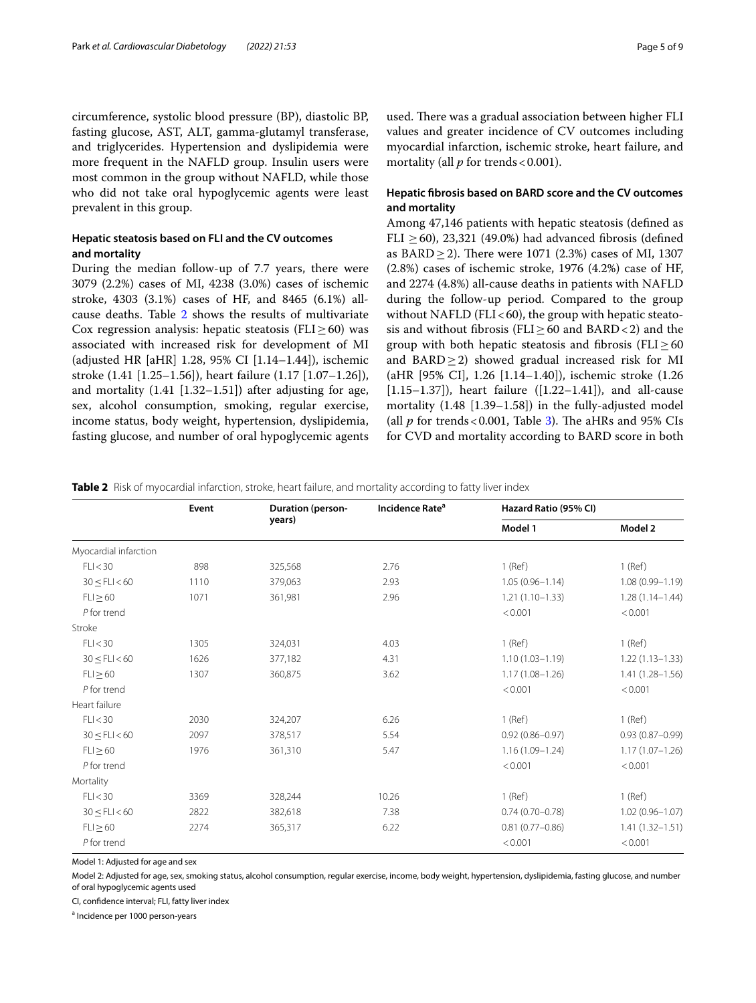circumference, systolic blood pressure (BP), diastolic BP, fasting glucose, AST, ALT, gamma-glutamyl transferase, and triglycerides. Hypertension and dyslipidemia were more frequent in the NAFLD group. Insulin users were most common in the group without NAFLD, while those who did not take oral hypoglycemic agents were least prevalent in this group.

# **Hepatic steatosis based on FLI and the CV outcomes and mortality**

During the median follow-up of 7.7 years, there were 3079 (2.2%) cases of MI, 4238 (3.0%) cases of ischemic stroke, 4303 (3.1%) cases of HF, and 8465 (6.1%) allcause deaths. Table [2](#page-4-0) shows the results of multivariate Cox regression analysis: hepatic steatosis ( $FLI \geq 60$ ) was associated with increased risk for development of MI (adjusted HR [aHR] 1.28, 95% CI [1.14–1.44]), ischemic stroke (1.41 [1.25–1.56]), heart failure (1.17 [1.07–1.26]), and mortality (1.41 [1.32–1.51]) after adjusting for age, sex, alcohol consumption, smoking, regular exercise, income status, body weight, hypertension, dyslipidemia, fasting glucose, and number of oral hypoglycemic agents used. There was a gradual association between higher FLI values and greater incidence of CV outcomes including myocardial infarction, ischemic stroke, heart failure, and mortality (all  $p$  for trends < 0.001).

# **Hepatic fbrosis based on BARD score and the CV outcomes and mortality**

Among 47,146 patients with hepatic steatosis (defned as FLI  $\geq$  60), 23,321 (49.0%) had advanced fibrosis (defined as  $BARD \geq 2$ ). There were 1071 (2.3%) cases of MI, 1307 (2.8%) cases of ischemic stroke, 1976 (4.2%) case of HF, and 2274 (4.8%) all-cause deaths in patients with NAFLD during the follow-up period. Compared to the group without NAFLD (FLI $<$ 60), the group with hepatic steatosis and without fibrosis (FLI $\geq$  60 and BARD < 2) and the group with both hepatic steatosis and fibrosis (FLI $\geq$ 60 and BARD $\geq$ 2) showed gradual increased risk for MI (aHR [95% CI], 1.26 [1.14–1.40]), ischemic stroke (1.26  $[1.15-1.37]$ , heart failure  $([1.22-1.41])$ , and all-cause mortality (1.48 [1.39–1.58]) in the fully-adjusted model (all  $p$  for trends < 0.001, Table [3\)](#page-5-0). The aHRs and 95% CIs for CVD and mortality according to BARD score in both

<span id="page-4-0"></span>**Table 2** Risk of myocardial infarction, stroke, heart failure, and mortality according to fatty liver index

|                       | Event | Incidence Rate <sup>a</sup><br><b>Duration (person-</b> |       | Hazard Ratio (95% CI) |                     |
|-----------------------|-------|---------------------------------------------------------|-------|-----------------------|---------------------|
|                       |       | years)                                                  |       | Model 1               | Model 2             |
| Myocardial infarction |       |                                                         |       |                       |                     |
| FLI < 30              | 898   | 325,568                                                 | 2.76  | $1$ (Ref)             | $1$ (Ref)           |
| $30 \leq$ FLI $<$ 60  | 1110  | 379,063                                                 | 2.93  | $1.05(0.96 - 1.14)$   | $1.08(0.99 - 1.19)$ |
| $FLI \geq 60$         | 1071  | 361,981                                                 | 2.96  | $1.21(1.10-1.33)$     | $1.28(1.14 - 1.44)$ |
| $P$ for trend         |       |                                                         |       | < 0.001               | < 0.001             |
| Stroke                |       |                                                         |       |                       |                     |
| FLI < 30              | 1305  | 324,031                                                 | 4.03  | $1$ (Ref)             | $1$ (Ref)           |
| $30 \leq$ FLI $<$ 60  | 1626  | 377,182                                                 | 4.31  | $1.10(1.03 - 1.19)$   | $1.22(1.13 - 1.33)$ |
| $FLI \geq 60$         | 1307  | 360,875                                                 | 3.62  | $1.17(1.08 - 1.26)$   | $1.41(1.28 - 1.56)$ |
| $P$ for trend         |       |                                                         |       | < 0.001               | < 0.001             |
| Heart failure         |       |                                                         |       |                       |                     |
| FLI < 30              | 2030  | 324,207                                                 | 6.26  | $1$ (Ref)             | $1$ (Ref)           |
| 30 < FLI < 60         | 2097  | 378,517                                                 | 5.54  | $0.92(0.86 - 0.97)$   | $0.93(0.87 - 0.99)$ |
| $FLI \geq 60$         | 1976  | 361,310                                                 | 5.47  | $1.16(1.09 - 1.24)$   | $1.17(1.07 - 1.26)$ |
| $P$ for trend         |       |                                                         |       | < 0.001               | < 0.001             |
| Mortality             |       |                                                         |       |                       |                     |
| FLI < 30              | 3369  | 328,244                                                 | 10.26 | $1$ (Ref)             | $1$ (Ref)           |
| 30 < FLI < 60         | 2822  | 382,618                                                 | 7.38  | $0.74(0.70 - 0.78)$   | $1.02(0.96 - 1.07)$ |
| $FLI \geq 60$         | 2274  | 365,317                                                 | 6.22  | $0.81(0.77 - 0.86)$   | $1.41(1.32 - 1.51)$ |
| $P$ for trend         |       |                                                         |       | < 0.001               | < 0.001             |

Model 1: Adjusted for age and sex

Model 2: Adjusted for age, sex, smoking status, alcohol consumption, regular exercise, income, body weight, hypertension, dyslipidemia, fasting glucose, and number of oral hypoglycemic agents used

CI, confdence interval; FLI, fatty liver index

<sup>a</sup> Incidence per 1000 person-years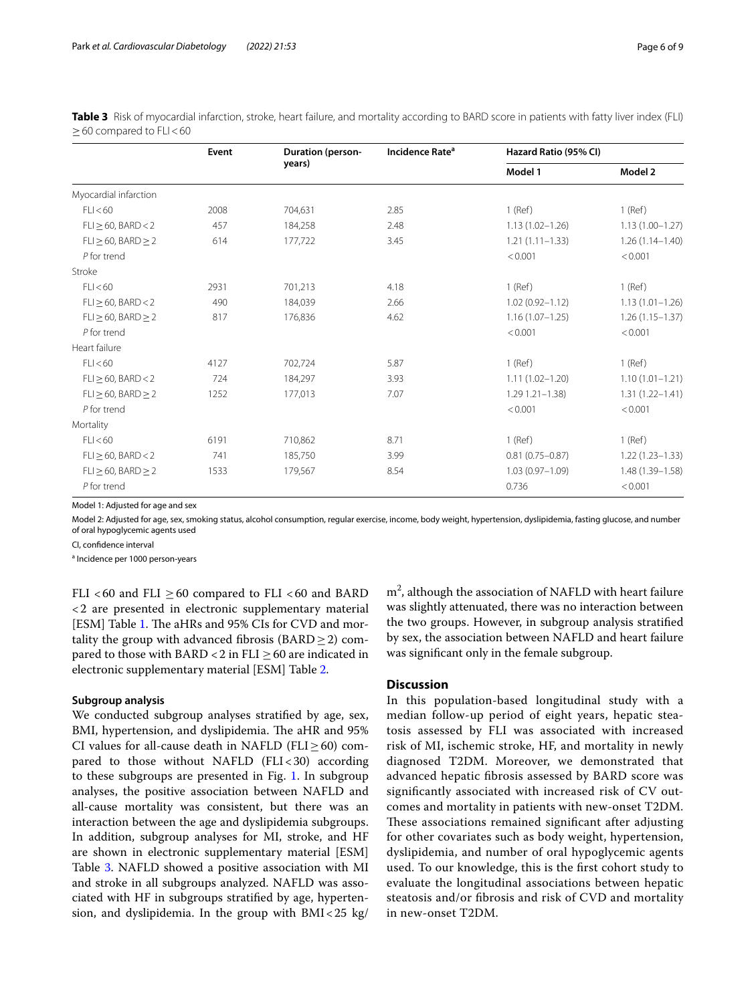|                               | Event | <b>Duration (person-</b> | Incidence Rate <sup>a</sup> | Hazard Ratio (95% CI) |                     |
|-------------------------------|-------|--------------------------|-----------------------------|-----------------------|---------------------|
|                               |       | years)                   |                             | Model 1               | Model 2             |
| Myocardial infarction         |       |                          |                             |                       |                     |
| FLI < 60                      | 2008  | 704,631                  | 2.85                        | $1$ (Ref)             | $1$ (Ref)           |
| $FLI \geq 60$ , BARD < 2      | 457   | 184,258                  | 2.48                        | $1.13(1.02 - 1.26)$   | $1.13(1.00 - 1.27)$ |
| $FLI \geq 60$ , BARD $\geq 2$ | 614   | 177,722                  | 3.45                        | $1.21(1.11 - 1.33)$   | $1.26(1.14 - 1.40)$ |
| $P$ for trend                 |       |                          |                             | < 0.001               | < 0.001             |
| Stroke                        |       |                          |                             |                       |                     |
| FLI < 60                      | 2931  | 701,213                  | 4.18                        | $1$ (Ref)             | $1$ (Ref)           |
| $FLI \geq 60$ , BARD < 2      | 490   | 184,039                  | 2.66                        | $1.02(0.92 - 1.12)$   | $1.13(1.01 - 1.26)$ |
| $FLI \geq 60$ , BARD $\geq 2$ | 817   | 176,836                  | 4.62                        | $1.16(1.07 - 1.25)$   | $1.26(1.15 - 1.37)$ |
| $P$ for trend                 |       |                          |                             | < 0.001               | < 0.001             |
| Heart failure                 |       |                          |                             |                       |                     |
| FLI < 60                      | 4127  | 702,724                  | 5.87                        | $1$ (Ref)             | $1$ (Ref)           |
| $FLI \geq 60$ , BARD < 2      | 724   | 184,297                  | 3.93                        | $1.11(1.02 - 1.20)$   | $1.10(1.01 - 1.21)$ |
| $FLI \geq 60$ , BARD $\geq 2$ | 1252  | 177,013                  | 7.07                        | $1.29$ $1.21 - 1.38$  | $1.31(1.22 - 1.41)$ |
| $P$ for trend                 |       |                          |                             | < 0.001               | < 0.001             |
| Mortality                     |       |                          |                             |                       |                     |
| FLI < 60                      | 6191  | 710,862                  | 8.71                        | $1$ (Ref)             | $1$ (Ref)           |
| $FLI \geq 60$ , BARD < 2      | 741   | 185,750                  | 3.99                        | $0.81(0.75 - 0.87)$   | $1.22(1.23 - 1.33)$ |
| $FLI \geq 60$ , BARD $\geq 2$ | 1533  | 179,567                  | 8.54                        | $1.03(0.97 - 1.09)$   | 1.48 (1.39-1.58)    |
| $P$ for trend                 |       |                          |                             | 0.736                 | < 0.001             |

<span id="page-5-0"></span>**Table 3** Risk of myocardial infarction, stroke, heart failure, and mortality according to BARD score in patients with fatty liver index (FLI)  $\geq$  60 compared to FLI $<$  60

Model 1: Adjusted for age and sex

Model 2: Adjusted for age, sex, smoking status, alcohol consumption, regular exercise, income, body weight, hypertension, dyslipidemia, fasting glucose, and number of oral hypoglycemic agents used

CI, confdence interval

<sup>a</sup> Incidence per 1000 person-years

FLI <60 and FLI  $\geq$  60 compared to FLI <60 and BARD <2 are presented in electronic supplementary material [ESM] Table [1.](#page-3-0) The aHRs and 95% CIs for CVD and mortality the group with advanced fibrosis ( $\text{BARD} \geq 2$ ) compared to those with BARD <2 in FLI  $\geq$  60 are indicated in electronic supplementary material [ESM] Table [2.](#page-4-0)

### **Subgroup analysis**

We conducted subgroup analyses stratifed by age, sex, BMI, hypertension, and dyslipidemia. The aHR and 95% CI values for all-cause death in NAFLD (FLI $\geq$ 60) compared to those without NAFLD (FLI $<$ 30) according to these subgroups are presented in Fig. [1](#page-2-0). In subgroup analyses, the positive association between NAFLD and all-cause mortality was consistent, but there was an interaction between the age and dyslipidemia subgroups. In addition, subgroup analyses for MI, stroke, and HF are shown in electronic supplementary material [ESM] Table [3](#page-5-0). NAFLD showed a positive association with MI and stroke in all subgroups analyzed. NAFLD was associated with HF in subgroups stratifed by age, hypertension, and dyslipidemia. In the group with  $BMI < 25$  kg/

 $m<sup>2</sup>$ , although the association of NAFLD with heart failure was slightly attenuated, there was no interaction between the two groups. However, in subgroup analysis stratifed by sex, the association between NAFLD and heart failure was signifcant only in the female subgroup.

# **Discussion**

In this population-based longitudinal study with a median follow-up period of eight years, hepatic steatosis assessed by FLI was associated with increased risk of MI, ischemic stroke, HF, and mortality in newly diagnosed T2DM. Moreover, we demonstrated that advanced hepatic fbrosis assessed by BARD score was signifcantly associated with increased risk of CV outcomes and mortality in patients with new-onset T2DM. These associations remained significant after adjusting for other covariates such as body weight, hypertension, dyslipidemia, and number of oral hypoglycemic agents used. To our knowledge, this is the frst cohort study to evaluate the longitudinal associations between hepatic steatosis and/or fbrosis and risk of CVD and mortality in new-onset T2DM.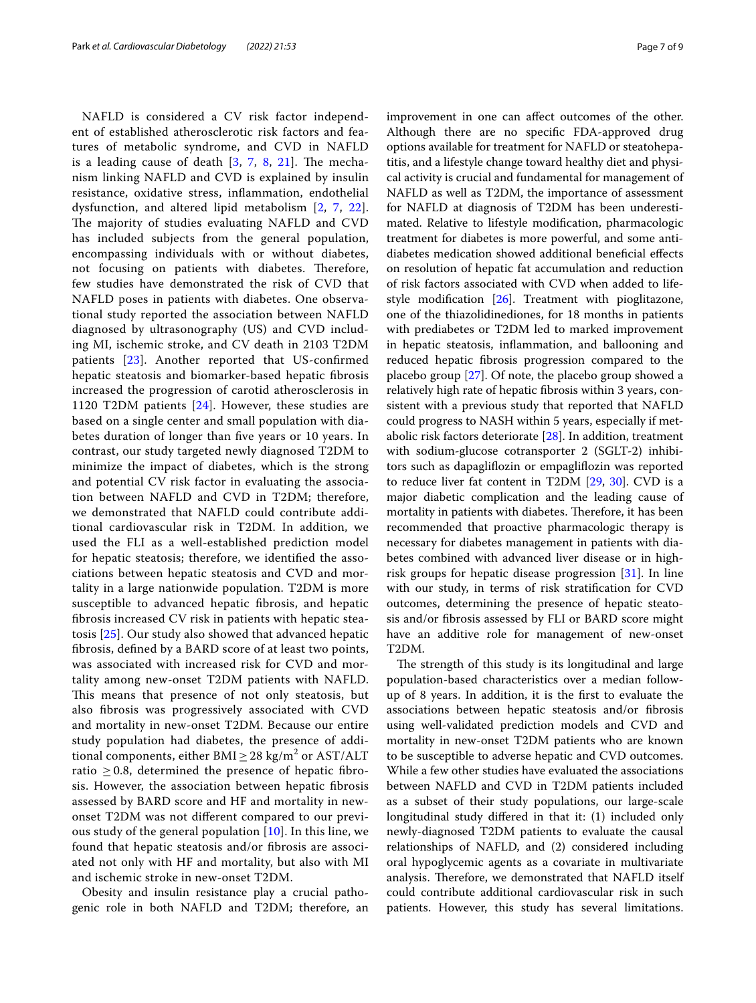NAFLD is considered a CV risk factor independent of established atherosclerotic risk factors and features of metabolic syndrome, and CVD in NAFLD is a leading cause of death  $[3, 7, 8, 21]$  $[3, 7, 8, 21]$  $[3, 7, 8, 21]$  $[3, 7, 8, 21]$  $[3, 7, 8, 21]$  $[3, 7, 8, 21]$  $[3, 7, 8, 21]$  $[3, 7, 8, 21]$ . The mechanism linking NAFLD and CVD is explained by insulin resistance, oxidative stress, infammation, endothelial dysfunction, and altered lipid metabolism [\[2](#page-7-1), [7,](#page-8-13) [22\]](#page-8-15). The majority of studies evaluating NAFLD and CVD has included subjects from the general population, encompassing individuals with or without diabetes, not focusing on patients with diabetes. Therefore, few studies have demonstrated the risk of CVD that NAFLD poses in patients with diabetes. One observational study reported the association between NAFLD diagnosed by ultrasonography (US) and CVD including MI, ischemic stroke, and CV death in 2103 T2DM patients [\[23](#page-8-16)]. Another reported that US-confrmed hepatic steatosis and biomarker-based hepatic fbrosis increased the progression of carotid atherosclerosis in 1120 T2DM patients [\[24\]](#page-8-17). However, these studies are based on a single center and small population with diabetes duration of longer than fve years or 10 years. In contrast, our study targeted newly diagnosed T2DM to minimize the impact of diabetes, which is the strong and potential CV risk factor in evaluating the association between NAFLD and CVD in T2DM; therefore, we demonstrated that NAFLD could contribute additional cardiovascular risk in T2DM. In addition, we used the FLI as a well-established prediction model for hepatic steatosis; therefore, we identifed the associations between hepatic steatosis and CVD and mortality in a large nationwide population. T2DM is more susceptible to advanced hepatic fbrosis, and hepatic fbrosis increased CV risk in patients with hepatic steatosis [[25\]](#page-8-18). Our study also showed that advanced hepatic fbrosis, defned by a BARD score of at least two points, was associated with increased risk for CVD and mortality among new-onset T2DM patients with NAFLD. This means that presence of not only steatosis, but also fbrosis was progressively associated with CVD and mortality in new-onset T2DM. Because our entire study population had diabetes, the presence of additional components, either  $\text{BMI} \geq 28 \text{ kg/m}^2 \text{ or } \text{AST/ALT}$ ratio  $\geq$  0.8, determined the presence of hepatic fibrosis. However, the association between hepatic fbrosis assessed by BARD score and HF and mortality in newonset T2DM was not diferent compared to our previous study of the general population [[10\]](#page-8-2). In this line, we found that hepatic steatosis and/or fbrosis are associated not only with HF and mortality, but also with MI and ischemic stroke in new-onset T2DM.

Obesity and insulin resistance play a crucial pathogenic role in both NAFLD and T2DM; therefore, an improvement in one can afect outcomes of the other. Although there are no specifc FDA-approved drug options available for treatment for NAFLD or steatohepatitis, and a lifestyle change toward healthy diet and physical activity is crucial and fundamental for management of NAFLD as well as T2DM, the importance of assessment for NAFLD at diagnosis of T2DM has been underestimated. Relative to lifestyle modifcation, pharmacologic treatment for diabetes is more powerful, and some antidiabetes medication showed additional benefcial efects on resolution of hepatic fat accumulation and reduction of risk factors associated with CVD when added to lifestyle modifcation [[26\]](#page-8-19). Treatment with pioglitazone, one of the thiazolidinediones, for 18 months in patients with prediabetes or T2DM led to marked improvement in hepatic steatosis, infammation, and ballooning and reduced hepatic fbrosis progression compared to the placebo group [\[27\]](#page-8-20). Of note, the placebo group showed a relatively high rate of hepatic fbrosis within 3 years, consistent with a previous study that reported that NAFLD could progress to NASH within 5 years, especially if metabolic risk factors deteriorate  $[28]$  $[28]$ . In addition, treatment with sodium-glucose cotransporter 2 (SGLT-2) inhibitors such as dapaglifozin or empaglifozin was reported to reduce liver fat content in T2DM [[29,](#page-8-22) [30](#page-8-23)]. CVD is a major diabetic complication and the leading cause of mortality in patients with diabetes. Therefore, it has been recommended that proactive pharmacologic therapy is necessary for diabetes management in patients with diabetes combined with advanced liver disease or in highrisk groups for hepatic disease progression [\[31\]](#page-8-24). In line with our study, in terms of risk stratifcation for CVD outcomes, determining the presence of hepatic steatosis and/or fbrosis assessed by FLI or BARD score might have an additive role for management of new-onset T2DM.

The strength of this study is its longitudinal and large population-based characteristics over a median followup of 8 years. In addition, it is the frst to evaluate the associations between hepatic steatosis and/or fbrosis using well-validated prediction models and CVD and mortality in new-onset T2DM patients who are known to be susceptible to adverse hepatic and CVD outcomes. While a few other studies have evaluated the associations between NAFLD and CVD in T2DM patients included as a subset of their study populations, our large-scale longitudinal study difered in that it: (1) included only newly-diagnosed T2DM patients to evaluate the causal relationships of NAFLD, and (2) considered including oral hypoglycemic agents as a covariate in multivariate analysis. Therefore, we demonstrated that NAFLD itself could contribute additional cardiovascular risk in such patients. However, this study has several limitations.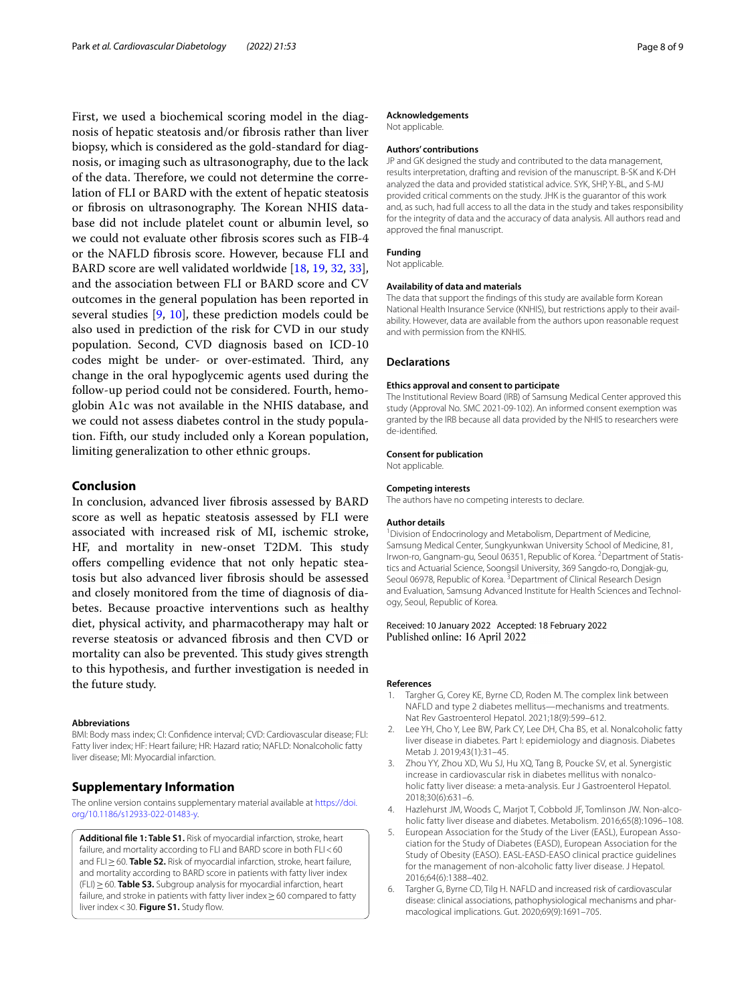First, we used a biochemical scoring model in the diagnosis of hepatic steatosis and/or fbrosis rather than liver biopsy, which is considered as the gold-standard for diagnosis, or imaging such as ultrasonography, due to the lack of the data. Therefore, we could not determine the correlation of FLI or BARD with the extent of hepatic steatosis or fibrosis on ultrasonography. The Korean NHIS database did not include platelet count or albumin level, so we could not evaluate other fbrosis scores such as FIB-4 or the NAFLD fbrosis score. However, because FLI and BARD score are well validated worldwide [[18,](#page-8-10) [19](#page-8-11), [32,](#page-8-25) [33](#page-8-26)], and the association between FLI or BARD score and CV outcomes in the general population has been reported in several studies [\[9](#page-8-1), [10](#page-8-2)], these prediction models could be also used in prediction of the risk for CVD in our study population. Second, CVD diagnosis based on ICD-10 codes might be under- or over-estimated. Third, any change in the oral hypoglycemic agents used during the follow-up period could not be considered. Fourth, hemoglobin A1c was not available in the NHIS database, and we could not assess diabetes control in the study population. Fifth, our study included only a Korean population, limiting generalization to other ethnic groups.

# **Conclusion**

In conclusion, advanced liver fbrosis assessed by BARD score as well as hepatic steatosis assessed by FLI were associated with increased risk of MI, ischemic stroke, HF, and mortality in new-onset T2DM. This study offers compelling evidence that not only hepatic steatosis but also advanced liver fbrosis should be assessed and closely monitored from the time of diagnosis of diabetes. Because proactive interventions such as healthy diet, physical activity, and pharmacotherapy may halt or reverse steatosis or advanced fbrosis and then CVD or mortality can also be prevented. This study gives strength to this hypothesis, and further investigation is needed in the future study.

#### **Abbreviations**

BMI: Body mass index; CI: Confdence interval; CVD: Cardiovascular disease; FLI: Fatty liver index; HF: Heart failure; HR: Hazard ratio; NAFLD: Nonalcoholic fatty liver disease; MI: Myocardial infarction.

# **Supplementary Information**

The online version contains supplementary material available at [https://doi.](https://doi.org/10.1186/s12933-022-01483-y) [org/10.1186/s12933-022-01483-y.](https://doi.org/10.1186/s12933-022-01483-y)

**Additional fle 1: Table S1.** Risk of myocardial infarction, stroke, heart failure, and mortality according to FLI and BARD score in both FLI<60 and FLI≥60. **Table S2.** Risk of myocardial infarction, stroke, heart failure, and mortality according to BARD score in patients with fatty liver index (FLI)≥60. **Table S3.** Subgroup analysis for myocardial infarction, heart failure, and stroke in patients with fatty liver index≥60 compared to fatty liver index < 30. Figure S1. Study flow.

### **Acknowledgements**

Not applicable.

### **Authors' contributions**

JP and GK designed the study and contributed to the data management, results interpretation, drafting and revision of the manuscript. B-SK and K-DH analyzed the data and provided statistical advice. SYK, SHP, Y-BL, and S-MJ provided critical comments on the study. JHK is the guarantor of this work and, as such, had full access to all the data in the study and takes responsibility for the integrity of data and the accuracy of data analysis. All authors read and approved the fnal manuscript.

**Funding**

Not applicable.

#### **Availability of data and materials**

The data that support the fndings of this study are available form Korean National Health Insurance Service (KNHIS), but restrictions apply to their avail‑ ability. However, data are available from the authors upon reasonable request and with permission from the KNHIS.

### **Declarations**

#### **Ethics approval and consent to participate**

The Institutional Review Board (IRB) of Samsung Medical Center approved this study (Approval No. SMC 2021-09-102). An informed consent exemption was granted by the IRB because all data provided by the NHIS to researchers were de-identifed.

#### **Consent for publication**

Not applicable.

#### **Competing interests**

The authors have no competing interests to declare.

#### **Author details**

<sup>1</sup> Division of Endocrinology and Metabolism, Department of Medicine, Samsung Medical Center, Sungkyunkwan University School of Medicine, 81, Irwon-ro, Gangnam-gu, Seoul 06351, Republic of Korea. <sup>2</sup> Department of Statistics and Actuarial Science, Soongsil University, 369 Sangdo‑ro, Dongjak‑gu, Seoul 06978, Republic of Korea.<sup>3</sup> Department of Clinical Research Design and Evaluation, Samsung Advanced Institute for Health Sciences and Technology, Seoul, Republic of Korea.

### Received: 10 January 2022 Accepted: 18 February 2022 Published online: 16 April 2022

#### **References**

- <span id="page-7-0"></span>1. Targher G, Corey KE, Byrne CD, Roden M. The complex link between NAFLD and type 2 diabetes mellitus—mechanisms and treatments. Nat Rev Gastroenterol Hepatol. 2021;18(9):599–612.
- <span id="page-7-1"></span>2. Lee YH, Cho Y, Lee BW, Park CY, Lee DH, Cha BS, et al. Nonalcoholic fatty liver disease in diabetes. Part I: epidemiology and diagnosis. Diabetes Metab J. 2019;43(1):31–45.
- <span id="page-7-2"></span>3. Zhou YY, Zhou XD, Wu SJ, Hu XQ, Tang B, Poucke SV, et al. Synergistic increase in cardiovascular risk in diabetes mellitus with nonalcoholic fatty liver disease: a meta-analysis. Eur J Gastroenterol Hepatol. 2018;30(6):631–6.
- <span id="page-7-3"></span>4. Hazlehurst JM, Woods C, Marjot T, Cobbold JF, Tomlinson JW. Non-alcoholic fatty liver disease and diabetes. Metabolism. 2016;65(8):1096–108.
- <span id="page-7-4"></span>5. European Association for the Study of the Liver (EASL), European Association for the Study of Diabetes (EASD), European Association for the Study of Obesity (EASO). EASL-EASD-EASO clinical practice guidelines for the management of non-alcoholic fatty liver disease. J Hepatol. 2016;64(6):1388–402.
- <span id="page-7-5"></span>6. Targher G, Byrne CD, Tilg H. NAFLD and increased risk of cardiovascular disease: clinical associations, pathophysiological mechanisms and phar‑ macological implications. Gut. 2020;69(9):1691–705.